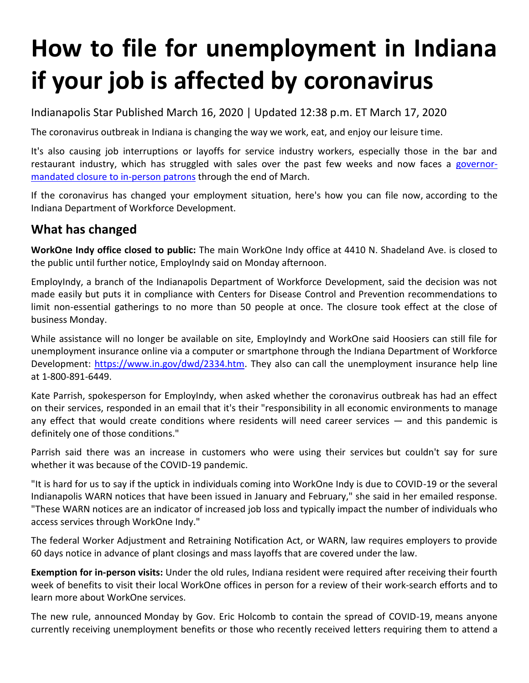# **How to file for unemployment in Indiana if your job is affected by coronavirus**

Indianapolis Star Published March 16, 2020 | Updated 12:38 p.m. ET March 17, 2020

The coronavirus outbreak in Indiana is changing the way we work, eat, and enjoy our leisure time.

It's also causing job interruptions or layoffs for service industry workers, especially those in the bar and restaurant industry, which has struggled with sales over the past few weeks and now faces a [governor](https://www.indystar.com/story/entertainment/dining/restaurants/2020/03/16/indiana-coronavirus-restaurants-bars-closed-covid-19-outbreak/5058655002/)[mandated closure to in-person patrons](https://www.indystar.com/story/entertainment/dining/restaurants/2020/03/16/indiana-coronavirus-restaurants-bars-closed-covid-19-outbreak/5058655002/) through the end of March.

If the coronavirus has changed your employment situation, here's how you can file now, according to the Indiana Department of Workforce Development.

## **What has changed**

**WorkOne Indy office closed to public:** The main WorkOne Indy office at 4410 N. Shadeland Ave. is closed to the public until further notice, EmployIndy said on Monday afternoon.

EmployIndy, a branch of the Indianapolis Department of Workforce Development, said the decision was not made easily but puts it in compliance with Centers for Disease Control and Prevention recommendations to limit non-essential gatherings to no more than 50 people at once. The closure took effect at the close of business Monday.

While assistance will no longer be available on site, EmployIndy and WorkOne said Hoosiers can still file for unemployment insurance online via a computer or smartphone through the Indiana Department of Workforce Development: [https://www.in.gov/dwd/2334.htm.](https://www.in.gov/dwd/2334.htm) They also can call the unemployment insurance help line at 1-800-891-6449.

Kate Parrish, spokesperson for EmployIndy, when asked whether the coronavirus outbreak has had an effect on their services, responded in an email that it's their "responsibility in all economic environments to manage any effect that would create conditions where residents will need career services — and this pandemic is definitely one of those conditions."

Parrish said there was an increase in customers who were using their services but couldn't say for sure whether it was because of the COVID-19 pandemic.

"It is hard for us to say if the uptick in individuals coming into WorkOne Indy is due to COVID-19 or the several Indianapolis WARN notices that have been issued in January and February," she said in her emailed response. "These WARN notices are an indicator of increased job loss and typically impact the number of individuals who access services through WorkOne Indy."

The federal Worker Adjustment and Retraining Notification Act, or WARN, law requires employers to provide 60 days notice in advance of plant closings and mass layoffs that are covered under the law.

**Exemption for in-person visits:** Under the old rules, Indiana resident were required after receiving their fourth week of benefits to visit their local WorkOne offices in person for a review of their work-search efforts and to learn more about WorkOne services.

The new rule, announced Monday by Gov. Eric Holcomb to contain the spread of COVID-19, means anyone currently receiving unemployment benefits or those who recently received letters requiring them to attend a